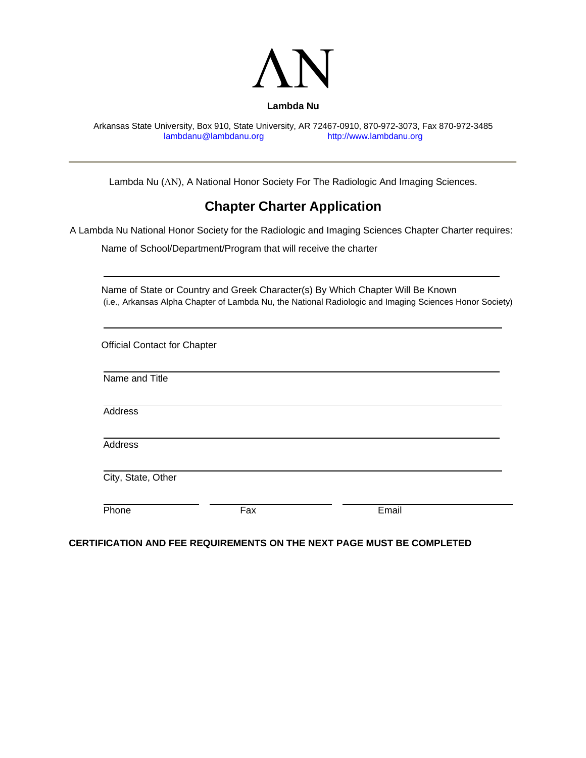

Arkansas State University, Box 910, State University, AR 72467-0910, 870-972-3073, Fax 870-972-3485 lambdanu@lambdanu.org

Lambda Nu (ΛΝ), A National Honor Society For The Radiologic And Imaging Sciences.

## **Chapter Charter Application**

A Lambda Nu National Honor Society for the Radiologic and Imaging Sciences Chapter Charter requires:

Name of School/Department/Program that will receive the charter

## **CERTIFICATION AND FEE REQUIREMENTS ON THE NEXT PAGE MUST BE COMPLETED**